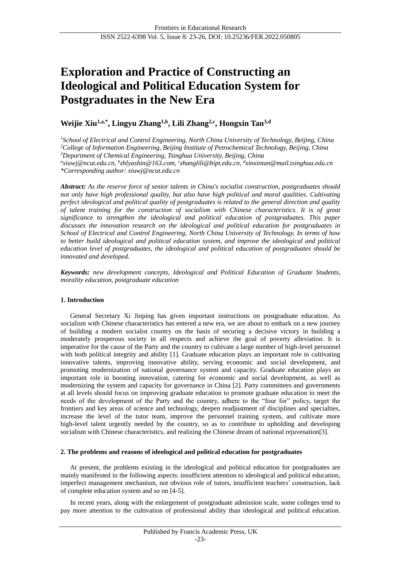# **Exploration and Practice of Constructing an Ideological and Political Education System for Postgraduates in the New Era**

# **Weijie Xiu1,a,\*, Lingyu Zhang1,b, Lili Zhang2,c, Hongxin Tan3,d**

*<sup>1</sup>School of Electrical and Control Engineering, North China University of Technology, Beijing, China <sup>2</sup>College of Information Engineering, Beijing Institute of Petrochemical Technology, Beijing, China <sup>3</sup>Department of Chemical Engineering, Tsinghua University, Beijing, China a [xiuwj@ncut.edu.cn,](mailto:xiuwj@ncut.edu.cn,) <sup>b</sup> [zhlyashin@163.com,](mailto:zhlyashin@163.com,) <sup>c</sup> [zhanglili@bipt.edu.cn,](mailto:zhanglili@bipt.edu.cn) d xinxintan@mail.tsinghua.edu.cn \*Corresponding author: xiuwj@ncut.edu.cn*

*Abstract: As the reserve force of senior talents in China's socialist construction, postgraduates should not only have high professional quality, but also have high political and moral qualities. Cultivating perfect ideological and political quality of postgraduates is related to the general direction and quality of talent training for the construction of socialism with Chinese characteristics. It is of great significance to strengthen the ideological and political education of postgraduates. This paper discusses the innovation research on the ideological and political education for postgraduates in School of Electrical and Control Engineering, North China University of Technology. In terms of how to better build ideological and political education system, and improve the ideological and political education level of postgraduates, the ideological and political education of postgraduates should be innovated and developed.*

*Keywords: new development concepts, Ideological and Political Education of Graduate Students, morality education, postgraduate education*

# **1. Introduction**

General Secretary Xi Jinping has given important instructions on postgraduate education. As socialism with Chinese characteristics has entered a new era, we are about to embark on a new journey of building a modern socialist country on the basis of securing a decisive victory in building a moderately prosperous society in all respects and achieve the goal of poverty alleviation. It is imperative for the cause of the Party and the country to cultivate a large number of high-level personnel with both political integrity and ability [1]. Graduate education plays an important role in cultivating innovative talents, improving innovative ability, serving economic and social development, and promoting modernization of national governance system and capacity. Graduate education plays an important role in boosting innovation, catering for economic and social development, as well as modernizing the system and capacity for governance in China [2]. Party committees and governments at all levels should focus on improving graduate education to promote graduate education to meet the needs of the development of the Party and the country, adhere to the "four for" policy, target the frontiers and key areas of science and technology, deepen readjustment of disciplines and specialties, increase the level of the tutor team, improve the personnel training system, and cultivate more high-level talent urgently needed by the country, so as to contribute to upholding and developing socialism with Chinese characteristics, and realizing the Chinese dream of national rejuvenation[3].

#### **2. The problems and reasons of ideological and political education for postgraduates**

At present, the problems existing in the ideological and political education for postgraduates are mainly manifested in the following aspects: insufficient attention to ideological and political education, imperfect management mechanism, not obvious role of tutors, insufficient teachers' construction, lack of complete education system and so on [4-5].

In recent years, along with the enlargement of postgraduate admission scale, some colleges tend to pay more attention to the cultivation of professional ability than ideological and political education.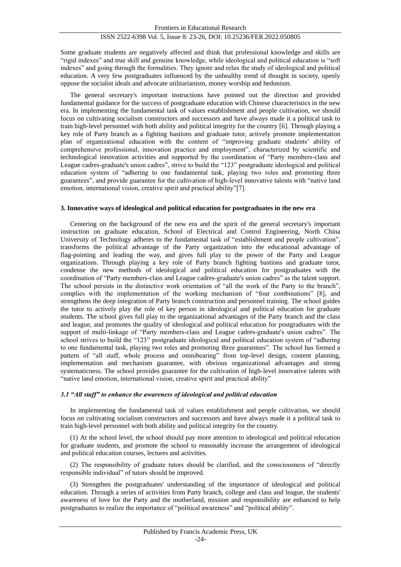## ISSN 2522-6398 Vol. 5, Issue 8: 23-26, DOI: 10.25236/FER.2022.050805

Some graduate students are negatively affected and think that professional knowledge and skills are "rigid indexes" and true skill and genuine knowledge, while ideological and political education is "soft indexes" and going through the formalities. They ignore and relax the study of ideological and political education. A very few postgraduates influenced by the unhealthy trend of thought in society, openly oppose the socialist ideals and advocate utilitarianism, money worship and hedonism.

The general secretary's important instructions have pointed out the direction and provided fundamental guidance for the success of postgraduate education with Chinese characteristics in the new era. In implementing the fundamental task of values establishment and people cultivation, we should focus on cultivating socialism constructors and successors and have always made it a political task to train high-level personnel with both ability and political integrity for the country [6]. Through playing a key role of Party branch as a fighting bastions and graduate tutor, actively promote implementation plan of organizational education with the content of "improving graduate students' ability of comprehensive professional, innovation practice and employment", characterized by scientific and technological innovation activities and supported by the coordination of "Party members-class and League cadres-graduate's union cadres", strive to build the "123" postgraduate ideological and political education system of "adhering to one fundamental task, playing two roles and promoting three guarantees", and provide guarantee for the cultivation of high-level innovative talents with "native land emotion, international vision, creative spirit and practical ability"[7].

#### **3. Innovative ways of ideological and political education for postgraduates in the new era**

Centering on the background of the new era and the spirit of the general secretary's important instruction on graduate education, School of Electrical and Control Engineering, North China University of Technology adheres to the fundamental task of "establishment and people cultivation", transforms the political advantage of the Party organization into the educational advantage of flag-pointing and leading the way, and gives full play to the power of the Party and League organizations. Through playing a key role of Party branch fighting bastions and graduate tutor, condense the new methods of ideological and political education for postgraduates with the coordination of "Party members-class and League cadres-graduate's union cadres" as the talent support. The school persists in the distinctive work orientation of "all the work of the Party to the branch", complies with the implementation of the working mechanism of "four combinations" [8], and strengthens the deep integration of Party branch construction and personnel training. The school guides the tutor to actively play the role of key person in ideological and political education for graduate students. The school gives full play to the organizational advantages of the Party branch and the class and league, and promotes the quality of ideological and political education for postgraduates with the support of multi-linkage of "Party members-class and League cadres-graduate's union cadres". The school strives to build the "123" postgraduate ideological and political education system of "adhering to one fundamental task, playing two roles and promoting three guarantees". The school has formed a pattern of "all staff, whole process and omnibearing" from top-level design, content planning, implementation and mechanism guarantee, with obvious organizational advantages and strong systematicness. The school provides guarantee for the cultivation of high-level innovative talents with "native land emotion, international vision, creative spirit and practical ability"

### *3.1 "All staff" to enhance the awareness of ideological and political education*

In implementing the fundamental task of values establishment and people cultivation, we should focus on cultivating socialism constructors and successors and have always made it a political task to train high-level personnel with both ability and political integrity for the country.

(1) At the school level, the school should pay more attention to ideological and political education for graduate students, and promote the school to reasonably increase the arrangement of ideological and political education courses, lectures and activities.

(2) The responsibility of graduate tutors should be clarified, and the consciousness of "directly responsible individual" of tutors should be improved.

(3) Strengthen the postgraduates' understanding of the importance of ideological and political education. Through a series of activities from Party branch, college and class and league, the students' awareness of love for the Party and the motherland, mission and responsibility are enhanced to help postgraduates to realize the importance of "political awareness" and "political ability".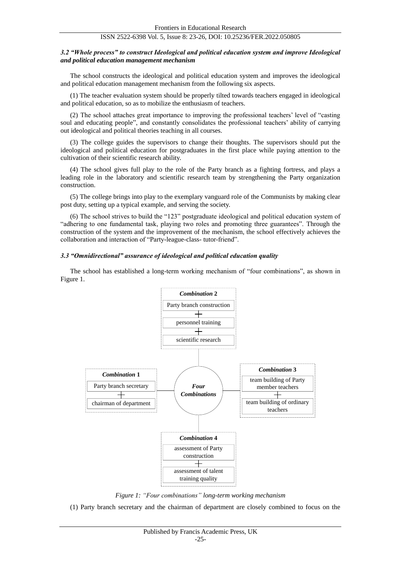#### ISSN 2522-6398 Vol. 5, Issue 8: 23-26, DOI: 10.25236/FER.2022.050805

#### *3.2 "Whole process" to construct Ideological and political education system and improve Ideological and political education management mechanism*

The school constructs the ideological and political education system and improves the ideological and political education management mechanism from the following six aspects.

(1) The teacher evaluation system should be properly tilted towards teachers engaged in ideological and political education, so as to mobilize the enthusiasm of teachers.

(2) The school attaches great importance to improving the professional teachers' level of "casting soul and educating people", and constantly consolidates the professional teachers' ability of carrying out ideological and political theories teaching in all courses.

(3) The college guides the supervisors to change their thoughts. The supervisors should put the ideological and political education for postgraduates in the first place while paying attention to the cultivation of their scientific research ability.

(4) The school gives full play to the role of the Party branch as a fighting fortress, and plays a leading role in the laboratory and scientific research team by strengthening the Party organization construction.

(5) The college brings into play to the exemplary vanguard role of the Communists by making clear post duty, setting up a typical example, and serving the society.

(6) The school strives to build the "123" postgraduate ideological and political education system of "adhering to one fundamental task, playing two roles and promoting three guarantees". Through the construction of the system and the improvement of the mechanism, the school effectively achieves the collaboration and interaction of "Party-league-class- tutor-friend".

#### *3.3 "Omnidirectional" assurance of ideological and political education quality*

The school has established a long-term working mechanism of "four combinations", as shown in Figure 1.



*Figure 1: "Four combinations" long-term working mechanism*

(1) Party branch secretary and the chairman of department are closely combined to focus on the